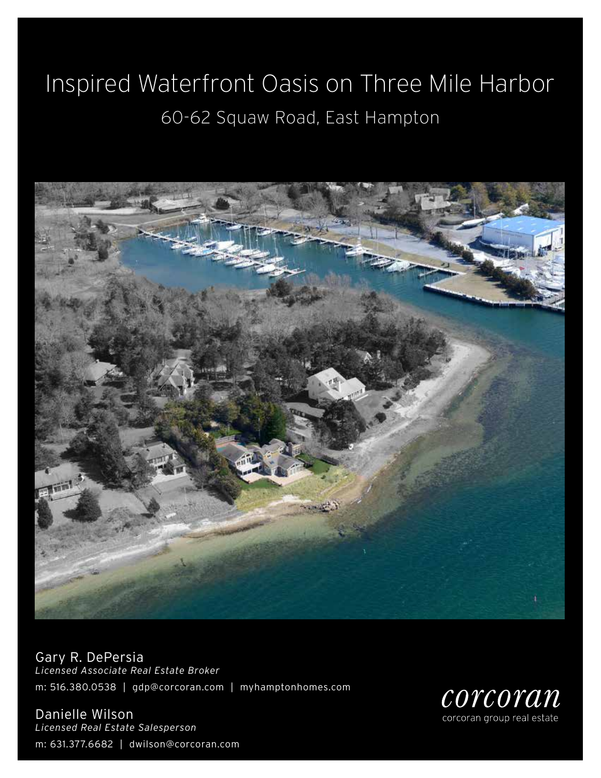# Inspired Waterfront Oasis on Three Mile Harbor 60-62 Squaw Road, East Hampton



Gary R. DePersia *Licensed Associate Real Estate Broker* m: 516.380.0538 | gdp@corcoran.com | myhamptonhomes.com

Danielle Wilson *Licensed Real Estate Salesperson* m: 631.377.6682 | dwilson@corcoran.com

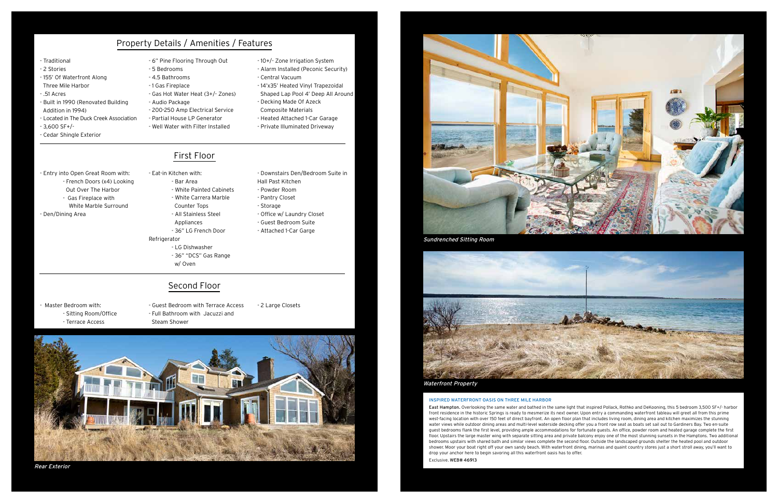#### INSPIRED WATERFRONT OASIS ON THREE MILE HARBOR

East Hampton. Overlooking the same water and bathed in the same light that inspired Pollack, Rothko and DeKooning, this 5 bedroom 3,500 SF+/- harbor front residence in the historic Springs is ready to mesmerize its next owner. Upon entry a commanding waterfront tableau will greet all from this prime west-facing location with over 150 feet of direct bayfront. An open floor plan that includes living room, dining area and kitchen maximizes the stunning water views while outdoor dining areas and multi-level waterside decking offer you a front row seat as boats set sail out to Gardiners Bay. Two en-suite guest bedrooms flank the first level, providing ample accommodations for fortunate guests. An office, powder room and heated garage complete the first floor. Upstairs the large master wing with separate sitting area and private balcony enjoy one of the most stunning sunsets in the Hamptons. Two additional bedrooms upstairs with shared bath and similar views complete the second floor. Outside the landscaped grounds shelter the heated pool and outdoor shower. Moor your boat right off your own sandy beach. With waterfront dining, marinas and quaint country stores just a short stroll away, you'll want to drop your anchor here to begin savoring all this waterfront oasis has to offer. Exclusive. WEB# 46913

**Solden Barnet** 

### Property Details / Amenities / Features

#### - Traditional

- 2 Stories
- 155' Of Waterfront Along Three Mile Harbor
- .51 Acres
- Built in 1990 (Renovated Building Addition in 1994)
- Located in The Duck Creek Association
- 3,600 SF+/-
- Cedar Shingle Exterior
- 6" Pine Flooring Through Out
- 5 Bedrooms
- 4.5 Bathrooms - 1 Gas Fireplace
- Gas Hot Water Heat (3+/- Zones)
- Audio Package
- 200-250 Amp Electrical Service
- Partial House LP Generator
- Well Water with Filter Installed
- 10+/- Zone Irrigation System - Alarm Installed (Peconic Security)
- Central Vacuum
- 14'x35' Heated Vinyl Trapezoidal
- Shaped Lap Pool 4' Deep All Around - Decking Made Of Azeck
- Composite Materials
- Heated Attached 1-Car Garage
- Private Illuminated Driveway

- Entry into Open Great Room with:

- French Doors (x4) Looking
	- Out Over The Harbor
- Gas Fireplace with

White Marble Surround

- Den/Dining Area

- Eat-in Kitchen with: - Bar Area - White Painted Cabinets

- White Carrera Marble Counter Tops
- All Stainless Steel
- Appliances
- 36" LG French Door
- Refrigerator
	-
	- w/ Oven
- Downstairs Den/Bedroom Suite in Hall Past Kitchen
- Powder Room
- Pantry Closet
- Storage
- Office w/ Laundry Closet
- Guest Bedroom Suite
- Attached 1-Car Garge
- LG Dishwasher
	- 36" "DCS" Gas Range
	-
	- Second Floor

- Master Bedroom with:
	- Sitting Room/Office
	- Terrace Access
- Guest Bedroom with Terrace Access - Full Bathroom with Jacuzzi and Steam Shower

- 2 Large Closets





Rear Exterior



First Floor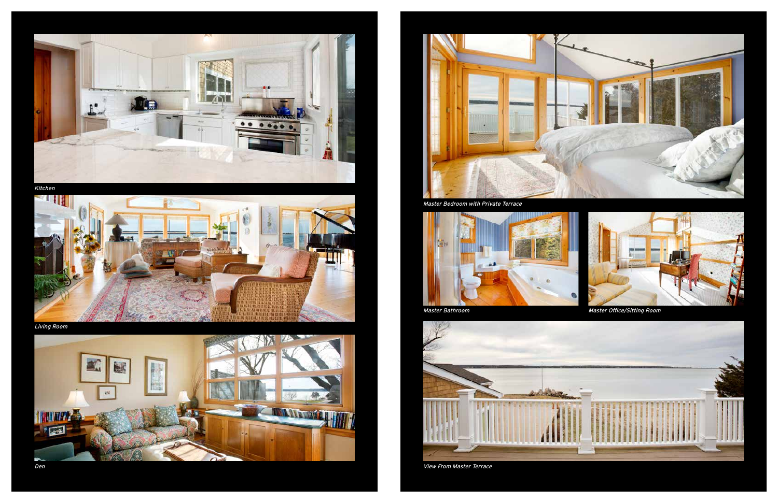Living Room







Kitchen



Master Bedroom with Private Terrace





View From Master Terrace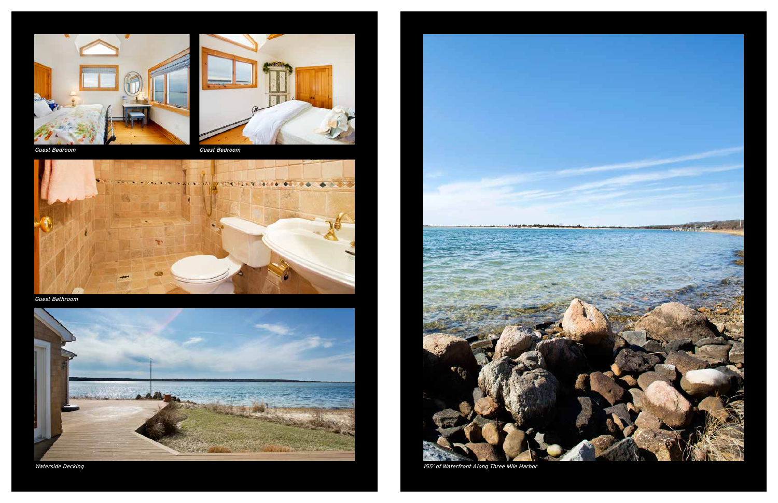



Guest Bedroom

Guest Bathroom





Guest Bedroom